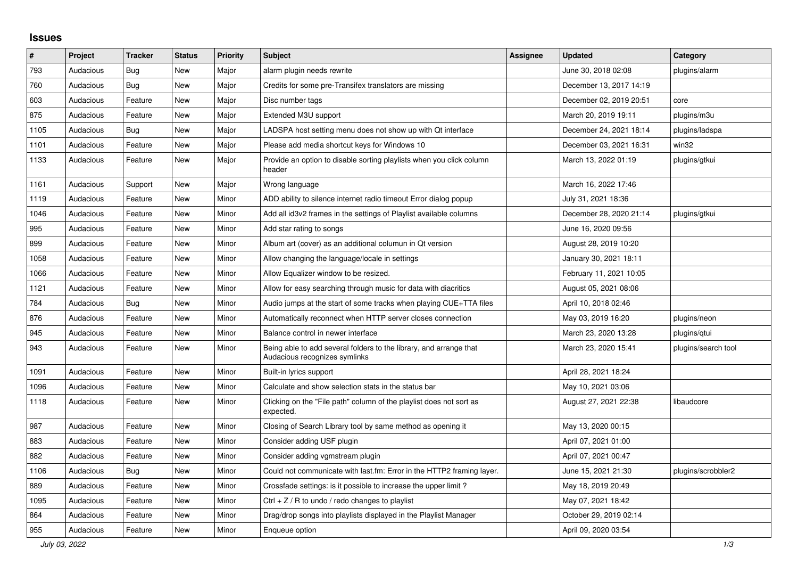## **Issues**

| ∦    | Project   | <b>Tracker</b> | <b>Status</b> | <b>Priority</b> | <b>Subject</b>                                                                                      | <b>Assignee</b> | <b>Updated</b>          | Category            |
|------|-----------|----------------|---------------|-----------------|-----------------------------------------------------------------------------------------------------|-----------------|-------------------------|---------------------|
| 793  | Audacious | <b>Bug</b>     | <b>New</b>    | Major           | alarm plugin needs rewrite                                                                          |                 | June 30, 2018 02:08     | plugins/alarm       |
| 760  | Audacious | Bug            | <b>New</b>    | Major           | Credits for some pre-Transifex translators are missing                                              |                 | December 13, 2017 14:19 |                     |
| 603  | Audacious | Feature        | <b>New</b>    | Major           | Disc number tags                                                                                    |                 | December 02, 2019 20:51 | core                |
| 875  | Audacious | Feature        | New           | Major           | Extended M3U support                                                                                |                 | March 20, 2019 19:11    | plugins/m3u         |
| 1105 | Audacious | Bug            | <b>New</b>    | Major           | LADSPA host setting menu does not show up with Qt interface                                         |                 | December 24, 2021 18:14 | plugins/ladspa      |
| 1101 | Audacious | Feature        | <b>New</b>    | Major           | Please add media shortcut keys for Windows 10                                                       |                 | December 03, 2021 16:31 | win32               |
| 1133 | Audacious | Feature        | <b>New</b>    | Major           | Provide an option to disable sorting playlists when you click column<br>header                      |                 | March 13, 2022 01:19    | plugins/gtkui       |
| 1161 | Audacious | Support        | <b>New</b>    | Major           | Wrong language                                                                                      |                 | March 16, 2022 17:46    |                     |
| 1119 | Audacious | Feature        | <b>New</b>    | Minor           | ADD ability to silence internet radio timeout Error dialog popup                                    |                 | July 31, 2021 18:36     |                     |
| 1046 | Audacious | Feature        | New           | Minor           | Add all id3v2 frames in the settings of Playlist available columns                                  |                 | December 28, 2020 21:14 | plugins/gtkui       |
| 995  | Audacious | Feature        | <b>New</b>    | Minor           | Add star rating to songs                                                                            |                 | June 16, 2020 09:56     |                     |
| 899  | Audacious | Feature        | <b>New</b>    | Minor           | Album art (cover) as an additional columun in Qt version                                            |                 | August 28, 2019 10:20   |                     |
| 1058 | Audacious | Feature        | <b>New</b>    | Minor           | Allow changing the language/locale in settings                                                      |                 | January 30, 2021 18:11  |                     |
| 1066 | Audacious | Feature        | New           | Minor           | Allow Equalizer window to be resized.                                                               |                 | February 11, 2021 10:05 |                     |
| 1121 | Audacious | Feature        | <b>New</b>    | Minor           | Allow for easy searching through music for data with diacritics                                     |                 | August 05, 2021 08:06   |                     |
| 784  | Audacious | <b>Bug</b>     | <b>New</b>    | Minor           | Audio jumps at the start of some tracks when playing CUE+TTA files                                  |                 | April 10, 2018 02:46    |                     |
| 876  | Audacious | Feature        | <b>New</b>    | Minor           | Automatically reconnect when HTTP server closes connection                                          |                 | May 03, 2019 16:20      | plugins/neon        |
| 945  | Audacious | Feature        | <b>New</b>    | Minor           | Balance control in newer interface                                                                  |                 | March 23, 2020 13:28    | plugins/gtui        |
| 943  | Audacious | Feature        | <b>New</b>    | Minor           | Being able to add several folders to the library, and arrange that<br>Audacious recognizes symlinks |                 | March 23, 2020 15:41    | plugins/search tool |
| 1091 | Audacious | Feature        | <b>New</b>    | Minor           | Built-in lyrics support                                                                             |                 | April 28, 2021 18:24    |                     |
| 1096 | Audacious | Feature        | <b>New</b>    | Minor           | Calculate and show selection stats in the status bar                                                |                 | May 10, 2021 03:06      |                     |
| 1118 | Audacious | Feature        | New           | Minor           | Clicking on the "File path" column of the playlist does not sort as<br>expected.                    |                 | August 27, 2021 22:38   | libaudcore          |
| 987  | Audacious | Feature        | <b>New</b>    | Minor           | Closing of Search Library tool by same method as opening it                                         |                 | May 13, 2020 00:15      |                     |
| 883  | Audacious | Feature        | <b>New</b>    | Minor           | Consider adding USF plugin                                                                          |                 | April 07, 2021 01:00    |                     |
| 882  | Audacious | Feature        | <b>New</b>    | Minor           | Consider adding vgmstream plugin                                                                    |                 | April 07, 2021 00:47    |                     |
| 1106 | Audacious | Bug            | <b>New</b>    | Minor           | Could not communicate with last.fm: Error in the HTTP2 framing layer.                               |                 | June 15, 2021 21:30     | plugins/scrobbler2  |
| 889  | Audacious | Feature        | <b>New</b>    | Minor           | Crossfade settings: is it possible to increase the upper limit?                                     |                 | May 18, 2019 20:49      |                     |
| 1095 | Audacious | Feature        | New           | Minor           | Ctrl + $Z$ / R to undo / redo changes to playlist                                                   |                 | May 07, 2021 18:42      |                     |
| 864  | Audacious | Feature        | <b>New</b>    | Minor           | Drag/drop songs into playlists displayed in the Playlist Manager                                    |                 | October 29, 2019 02:14  |                     |
| 955  | Audacious | Feature        | <b>New</b>    | Minor           | Enqueue option                                                                                      |                 | April 09, 2020 03:54    |                     |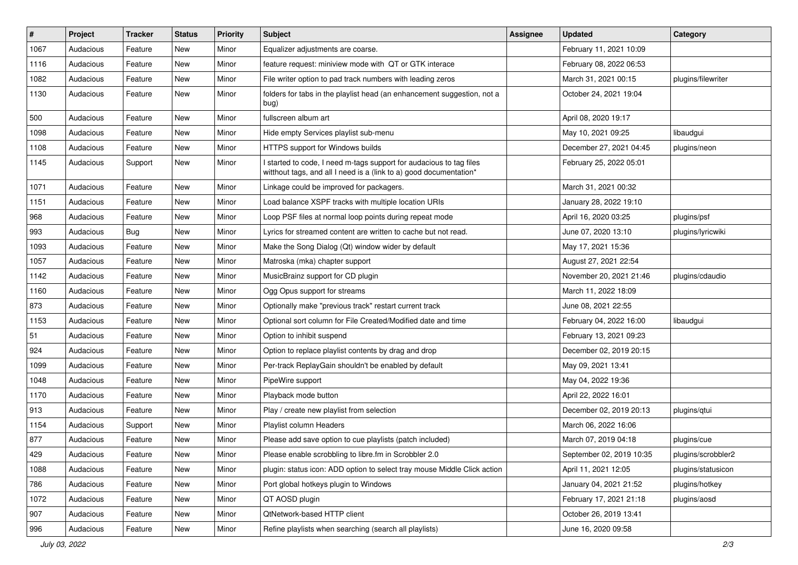| $\vert$ # | Project   | Tracker | <b>Status</b> | <b>Priority</b> | <b>Subject</b>                                                                                                                            | <b>Assignee</b> | <b>Updated</b>           | Category           |
|-----------|-----------|---------|---------------|-----------------|-------------------------------------------------------------------------------------------------------------------------------------------|-----------------|--------------------------|--------------------|
| 1067      | Audacious | Feature | New           | Minor           | Equalizer adjustments are coarse.                                                                                                         |                 | February 11, 2021 10:09  |                    |
| 1116      | Audacious | Feature | <b>New</b>    | Minor           | feature request: miniview mode with QT or GTK interace                                                                                    |                 | February 08, 2022 06:53  |                    |
| 1082      | Audacious | Feature | New           | Minor           | File writer option to pad track numbers with leading zeros                                                                                |                 | March 31, 2021 00:15     | plugins/filewriter |
| 1130      | Audacious | Feature | New           | Minor           | folders for tabs in the playlist head (an enhancement suggestion, not a<br>bug)                                                           |                 | October 24, 2021 19:04   |                    |
| 500       | Audacious | Feature | New           | Minor           | fullscreen album art                                                                                                                      |                 | April 08, 2020 19:17     |                    |
| 1098      | Audacious | Feature | New           | Minor           | Hide empty Services playlist sub-menu                                                                                                     |                 | May 10, 2021 09:25       | libaudgui          |
| 1108      | Audacious | Feature | New           | Minor           | HTTPS support for Windows builds                                                                                                          |                 | December 27, 2021 04:45  | plugins/neon       |
| 1145      | Audacious | Support | New           | Minor           | I started to code, I need m-tags support for audacious to tag files<br>witthout tags, and all I need is a (link to a) good documentation* |                 | February 25, 2022 05:01  |                    |
| 1071      | Audacious | Feature | New           | Minor           | Linkage could be improved for packagers.                                                                                                  |                 | March 31, 2021 00:32     |                    |
| 1151      | Audacious | Feature | New           | Minor           | Load balance XSPF tracks with multiple location URIs                                                                                      |                 | January 28, 2022 19:10   |                    |
| 968       | Audacious | Feature | New           | Minor           | Loop PSF files at normal loop points during repeat mode                                                                                   |                 | April 16, 2020 03:25     | plugins/psf        |
| 993       | Audacious | Bug     | New           | Minor           | Lyrics for streamed content are written to cache but not read.                                                                            |                 | June 07, 2020 13:10      | plugins/lyricwiki  |
| 1093      | Audacious | Feature | <b>New</b>    | Minor           | Make the Song Dialog (Qt) window wider by default                                                                                         |                 | May 17, 2021 15:36       |                    |
| 1057      | Audacious | Feature | New           | Minor           | Matroska (mka) chapter support                                                                                                            |                 | August 27, 2021 22:54    |                    |
| 1142      | Audacious | Feature | New           | Minor           | MusicBrainz support for CD plugin                                                                                                         |                 | November 20, 2021 21:46  | plugins/cdaudio    |
| 1160      | Audacious | Feature | New           | Minor           | Ogg Opus support for streams                                                                                                              |                 | March 11, 2022 18:09     |                    |
| 873       | Audacious | Feature | New           | Minor           | Optionally make "previous track" restart current track                                                                                    |                 | June 08, 2021 22:55      |                    |
| 1153      | Audacious | Feature | <b>New</b>    | Minor           | Optional sort column for File Created/Modified date and time                                                                              |                 | February 04, 2022 16:00  | libaudgui          |
| 51        | Audacious | Feature | New           | Minor           | Option to inhibit suspend                                                                                                                 |                 | February 13, 2021 09:23  |                    |
| 924       | Audacious | Feature | New           | Minor           | Option to replace playlist contents by drag and drop                                                                                      |                 | December 02, 2019 20:15  |                    |
| 1099      | Audacious | Feature | <b>New</b>    | Minor           | Per-track ReplayGain shouldn't be enabled by default                                                                                      |                 | May 09, 2021 13:41       |                    |
| 1048      | Audacious | Feature | New           | Minor           | PipeWire support                                                                                                                          |                 | May 04, 2022 19:36       |                    |
| 1170      | Audacious | Feature | New           | Minor           | Playback mode button                                                                                                                      |                 | April 22, 2022 16:01     |                    |
| 913       | Audacious | Feature | New           | Minor           | Play / create new playlist from selection                                                                                                 |                 | December 02, 2019 20:13  | plugins/qtui       |
| 1154      | Audacious | Support | New           | Minor           | Playlist column Headers                                                                                                                   |                 | March 06, 2022 16:06     |                    |
| 877       | Audacious | Feature | <b>New</b>    | Minor           | Please add save option to cue playlists (patch included)                                                                                  |                 | March 07, 2019 04:18     | plugins/cue        |
| 429       | Audacious | Feature | New           | Minor           | Please enable scrobbling to libre.fm in Scrobbler 2.0                                                                                     |                 | September 02, 2019 10:35 | plugins/scrobbler2 |
| 1088      | Audacious | Feature | New           | Minor           | plugin: status icon: ADD option to select tray mouse Middle Click action                                                                  |                 | April 11, 2021 12:05     | plugins/statusicon |
| 786       | Audacious | Feature | New           | Minor           | Port global hotkeys plugin to Windows                                                                                                     |                 | January 04, 2021 21:52   | plugins/hotkey     |
| 1072      | Audacious | Feature | New           | Minor           | QT AOSD plugin                                                                                                                            |                 | February 17, 2021 21:18  | plugins/aosd       |
| 907       | Audacious | Feature | New           | Minor           | QtNetwork-based HTTP client                                                                                                               |                 | October 26, 2019 13:41   |                    |
| 996       | Audacious | Feature | New           | Minor           | Refine playlists when searching (search all playlists)                                                                                    |                 | June 16, 2020 09:58      |                    |